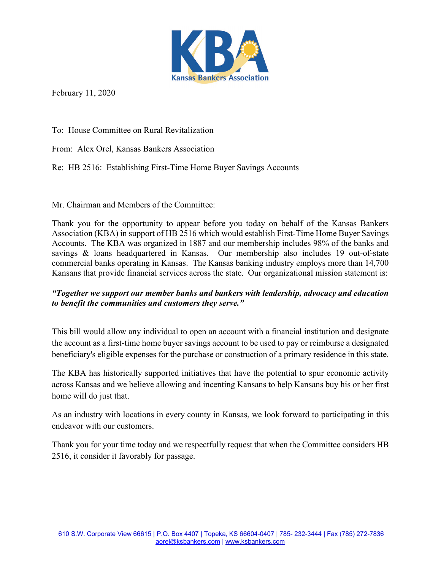

February 11, 2020

To: House Committee on Rural Revitalization

From: Alex Orel, Kansas Bankers Association

Re: HB 2516: Establishing First-Time Home Buyer Savings Accounts

Mr. Chairman and Members of the Committee:

Thank you for the opportunity to appear before you today on behalf of the Kansas Bankers Association (KBA) in support of HB 2516 which would establish First-Time Home Buyer Savings Accounts. The KBA was organized in 1887 and our membership includes 98% of the banks and savings & loans headquartered in Kansas. Our membership also includes 19 out-of-state commercial banks operating in Kansas. The Kansas banking industry employs more than 14,700 Kansans that provide financial services across the state. Our organizational mission statement is:

## *"Together we support our member banks and bankers with leadership, advocacy and education to benefit the communities and customers they serve."*

This bill would allow any individual to open an account with a financial institution and designate the account as a first-time home buyer savings account to be used to pay or reimburse a designated beneficiary's eligible expenses for the purchase or construction of a primary residence in this state.

The KBA has historically supported initiatives that have the potential to spur economic activity across Kansas and we believe allowing and incenting Kansans to help Kansans buy his or her first home will do just that.

As an industry with locations in every county in Kansas, we look forward to participating in this endeavor with our customers.

Thank you for your time today and we respectfully request that when the Committee considers HB 2516, it consider it favorably for passage.